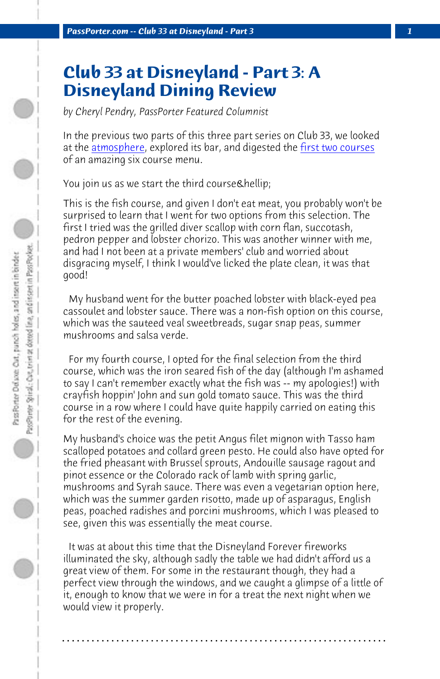*PassPorter.com -- Club 33 at Disneyland - Part 3 1*

## **Club 33 at Disneyland - Part 3: A Disneyland Dining Review**

*by Cheryl Pendry, PassPorter Featured Columnist*

In the previous two parts of this three part series on Club 33, we looked at the *atmosphere*, explored its bar, and digested the *first two courses* of an amazing six course menu.

You join us as we start the third course & hellip;

This is the fish course, and given I don't eat meat, you probably won't be surprised to learn that I went for two options from this selection. The first I tried was the grilled diver scallop with corn flan, succotash, pedron pepper and lobster chorizo. This was another winner with me, and had I not been at a private members' club and worried about disgracing myself, I think I would've licked the plate clean, it was that good!

 My husband went for the butter poached lobster with black-eyed pea cassoulet and lobster sauce. There was a non-fish option on this course, which was the sauteed veal sweetbreads, sugar snap peas, summer mushrooms and salsa verde.

 For my fourth course, I opted for the final selection from the third course, which was the iron seared fish of the day (although I'm ashamed to say I can't remember exactly what the fish was -- my apologies!) with crayfish hoppin' John and sun gold tomato sauce. This was the third course in a row where I could have quite happily carried on eating this for the rest of the evening.

My husband's choice was the petit Angus filet mignon with Tasso ham scalloped potatoes and collard green pesto. He could also have opted for the fried pheasant with Brussel sprouts, Andouille sausage ragout and pinot essence or the Colorado rack of lamb with spring garlic, mushrooms and Syrah sauce. There was even a vegetarian option here, which was the summer garden risotto, made up of asparagus, English peas, poached radishes and porcini mushrooms, which I was pleased to see, given this was essentially the meat course.

 It was at about this time that the Disneyland Forever fireworks illuminated the sky, although sadly the table we had didn't afford us a great view of them. For some in the restaurant though, they had a perfect view through the windows, and we caught a glimpse of a little of it, enough to know that we were in for a treat the next night when we would view it properly.

**. . . . . . . . . . . . . . . . . . . . . . . . . . . . . . . . . . . . . . . . . . . . . . . . . . . . . . . . . . . . . . . . . .**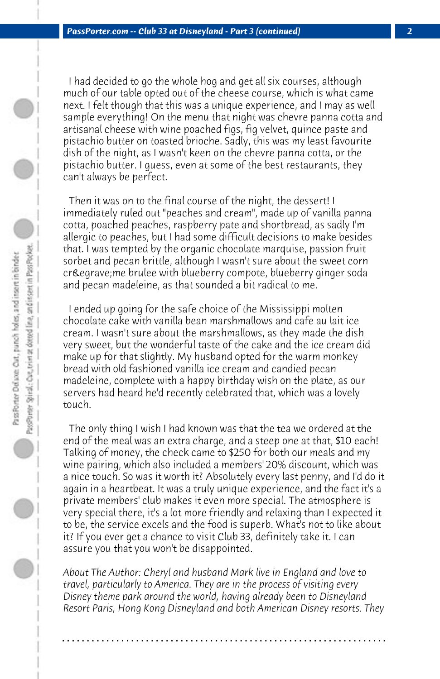I had decided to go the whole hog and get all six courses, although much of our table opted out of the cheese course, which is what came next. I felt though that this was a unique experience, and I may as well sample everything! On the menu that night was chevre panna cotta and artisanal cheese with wine poached figs, fig velvet, quince paste and pistachio butter on toasted brioche. Sadly, this was my least favourite dish of the night, as I wasn't keen on the chevre panna cotta, or the pistachio butter. I guess, even at some of the best restaurants, they can't always be perfect.

 Then it was on to the final course of the night, the dessert! I immediately ruled out "peaches and cream", made up of vanilla panna cotta, poached peaches, raspberry pate and shortbread, as sadly I'm allergic to peaches, but I had some difficult decisions to make besides that. I was tempted by the organic chocolate marquise, passion fruit sorbet and pecan brittle, although I wasn't sure about the sweet corn crème brulee with blueberry compote, blueberry ginger soda and pecan madeleine, as that sounded a bit radical to me.

 I ended up going for the safe choice of the Mississippi molten chocolate cake with vanilla bean marshmallows and cafe au lait ice cream. I wasn't sure about the marshmallows, as they made the dish very sweet, but the wonderful taste of the cake and the ice cream did make up for that slightly. My husband opted for the warm monkey bread with old fashioned vanilla ice cream and candied pecan madeleine, complete with a happy birthday wish on the plate, as our servers had heard he'd recently celebrated that, which was a lovely touch.

 The only thing I wish I had known was that the tea we ordered at the end of the meal was an extra charge, and a steep one at that, \$10 each! Talking of money, the check came to \$250 for both our meals and my wine pairing, which also included a members' 20% discount, which was a nice touch. So was it worth it? Absolutely every last penny, and I'd do it again in a heartbeat. It was a truly unique experience, and the fact it's a private members' club makes it even more special. The atmosphere is very special there, it's a lot more friendly and relaxing than I expected it to be, the service excels and the food is superb. What's not to like about it? If you ever get a chance to visit Club 33, definitely take it. I can assure you that you won't be disappointed.

*About The Author: Cheryl and husband Mark live in England and love to travel, particularly to America. They are in the process of visiting every Disney theme park around the world, having already been to Disneyland Resort Paris, Hong Kong Disneyland and both American Disney resorts. They*

**. . . . . . . . . . . . . . . . . . . . . . . . . . . . . . . . . . . . . . . . . . . . . . . . . . . . . . . . . . . . . . . . . .**